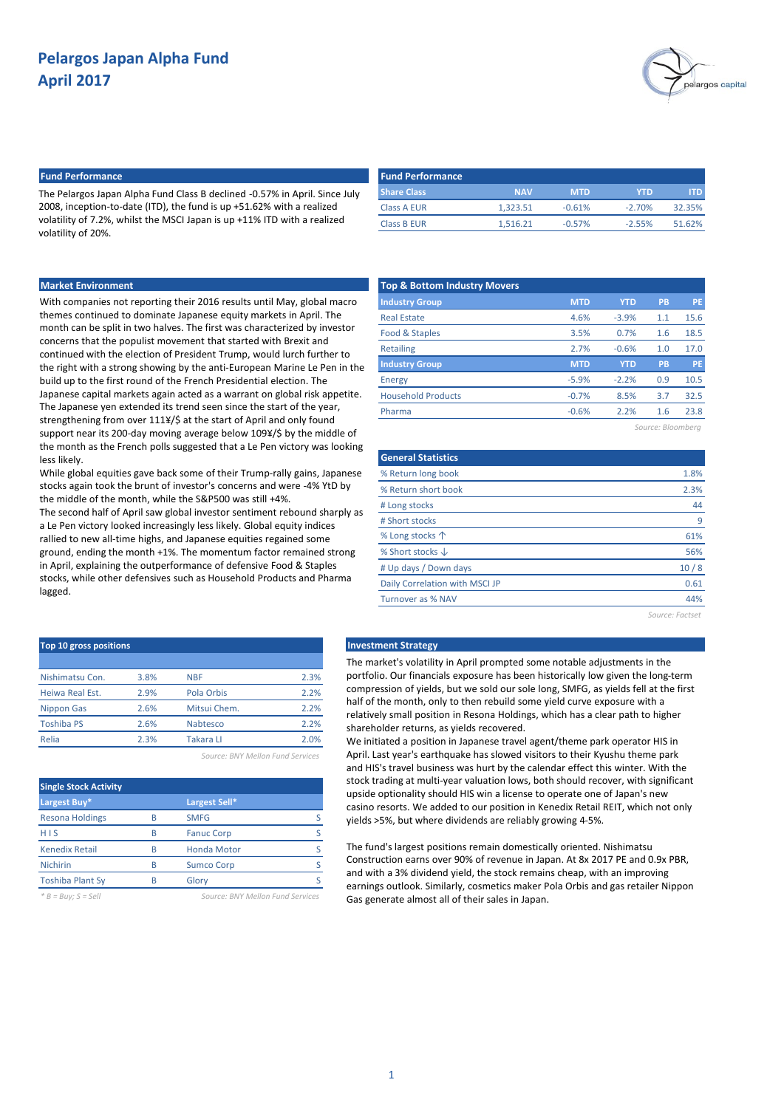

## **Fund Performance Fund Performance**

The Pelargos Japan Alpha Fund Class B declined -0.57% in April. Since July 2008, inception-to-date (ITD), the fund is up +51.62% with a realized volatility of 7.2%, whilst the MSCI Japan is up +11% ITD with a realized volatility of 20%.

| <b>Fund Performance</b> |            |            |          |        |
|-------------------------|------------|------------|----------|--------|
| <b>Share Class</b>      | <b>NAV</b> | <b>MTD</b> | YTD      | ITD.   |
| <b>Class A EUR</b>      | 1.323.51   | $-0.61%$   | $-2.70%$ | 32.35% |
| <b>Class B EUR</b>      | 1.516.21   | $-0.57%$   | $-2.55%$ | 51.62% |

## **Market Environment**

With companies not reporting their 2016 results until May, global macro themes continued to dominate Japanese equity markets in April. The month can be split in two halves. The first was characterized by investor concerns that the populist movement that started with Brexit and continued with the election of President Trump, would lurch further to the right with a strong showing by the anti-European Marine Le Pen in the build up to the first round of the French Presidential election. The Japanese capital markets again acted as a warrant on global risk appetite. The Japanese yen extended its trend seen since the start of the year, strengthening from over 111¥/\$ at the start of April and only found support near its 200-day moving average below 109¥/\$ by the middle of the month as the French polls suggested that a Le Pen victory was looking less likely.

While global equities gave back some of their Trump-rally gains, Japanese stocks again took the brunt of investor's concerns and were -4% YtD by the middle of the month, while the S&P500 was still +4%.

The second half of April saw global investor sentiment rebound sharply as a Le Pen victory looked increasingly less likely. Global equity indices rallied to new all-time highs, and Japanese equities regained some ground, ending the month +1%. The momentum factor remained strong in April, explaining the outperformance of defensive Food & Staples stocks, while other defensives such as Household Products and Pharma lagged.

| Top 10 gross positions |      |                  |      |  |  |  |  |
|------------------------|------|------------------|------|--|--|--|--|
|                        |      |                  |      |  |  |  |  |
| Nishimatsu Con.        | 3.8% | <b>NBF</b>       | 2.3% |  |  |  |  |
| Heiwa Real Est.        | 2.9% | Pola Orbis       | 2.2% |  |  |  |  |
| <b>Nippon Gas</b>      | 2.6% | Mitsui Chem.     | 2.2% |  |  |  |  |
| <b>Toshiba PS</b>      | 2.6% | Nabtesco         | 2.2% |  |  |  |  |
| Relia                  | 2.3% | <b>Takara LI</b> | 2.0% |  |  |  |  |
|                        |      |                  |      |  |  |  |  |

*Source: BNY Mellon Fund Services*

|   | Largest Sell*      |  |
|---|--------------------|--|
|   | <b>SMFG</b>        |  |
|   | <b>Fanuc Corp</b>  |  |
|   | <b>Honda Motor</b> |  |
| R | <b>Sumco Corp</b>  |  |
|   | Glory              |  |
|   |                    |  |

*\* B = Buy; S = Sell Source: BNY Mellon Fund Services*

| <b>Top &amp; Bottom Industry Movers</b> |            |            |     |           |  |  |  |  |
|-----------------------------------------|------------|------------|-----|-----------|--|--|--|--|
| <b>Industry Group</b>                   | <b>MTD</b> | <b>YTD</b> | PB  | <b>PE</b> |  |  |  |  |
| <b>Real Estate</b>                      | 4.6%       | $-3.9%$    | 1.1 | 15.6      |  |  |  |  |
| Food & Staples                          | 3.5%       | 0.7%       | 1.6 | 18.5      |  |  |  |  |
| <b>Retailing</b>                        | 2.7%       | $-0.6%$    | 1.0 | 17.0      |  |  |  |  |
| <b>Industry Group</b>                   | <b>MTD</b> | <b>YTD</b> | PB  | <b>PE</b> |  |  |  |  |
| <b>Energy</b>                           | $-5.9%$    | $-2.2%$    | 0.9 | 10.5      |  |  |  |  |
| <b>Household Products</b>               | $-0.7%$    | 8.5%       | 3.7 | 32.5      |  |  |  |  |
| Pharma                                  | $-0.6%$    | 2.2%       | 1.6 | 23.8      |  |  |  |  |
|                                         |            |            |     |           |  |  |  |  |

*Source: Bloomberg*

| <b>General Statistics</b>      |      |
|--------------------------------|------|
| % Return long book             | 1.8% |
| % Return short book            | 2.3% |
| # Long stocks                  | 44   |
| # Short stocks                 | 9    |
| % Long stocks 个                | 61%  |
| % Short stocks $\downarrow$    | 56%  |
| # Up days / Down days          | 10/8 |
| Daily Correlation with MSCI JP | 0.61 |
| Turnover as % NAV              | 44%  |

*Source: Factset*

### **Investment Strategy**

The market's volatility in April prompted some notable adjustments in the portfolio. Our financials exposure has been historically low given the long-term compression of yields, but we sold our sole long, SMFG, as yields fell at the first half of the month, only to then rebuild some yield curve exposure with a relatively small position in Resona Holdings, which has a clear path to higher shareholder returns, as yields recovered.

We initiated a position in Japanese travel agent/theme park operator HIS in April. Last year's earthquake has slowed visitors to their Kyushu theme park and HIS's travel business was hurt by the calendar effect this winter. With the stock trading at multi-year valuation lows, both should recover, with significant upside optionality should HIS win a license to operate one of Japan's new casino resorts. We added to our position in Kenedix Retail REIT, which not only yields >5%, but where dividends are reliably growing 4-5%.

The fund's largest positions remain domestically oriented. Nishimatsu Construction earns over 90% of revenue in Japan. At 8x 2017 PE and 0.9x PBR, and with a 3% dividend yield, the stock remains cheap, with an improving earnings outlook. Similarly, cosmetics maker Pola Orbis and gas retailer Nippon Gas generate almost all of their sales in Japan.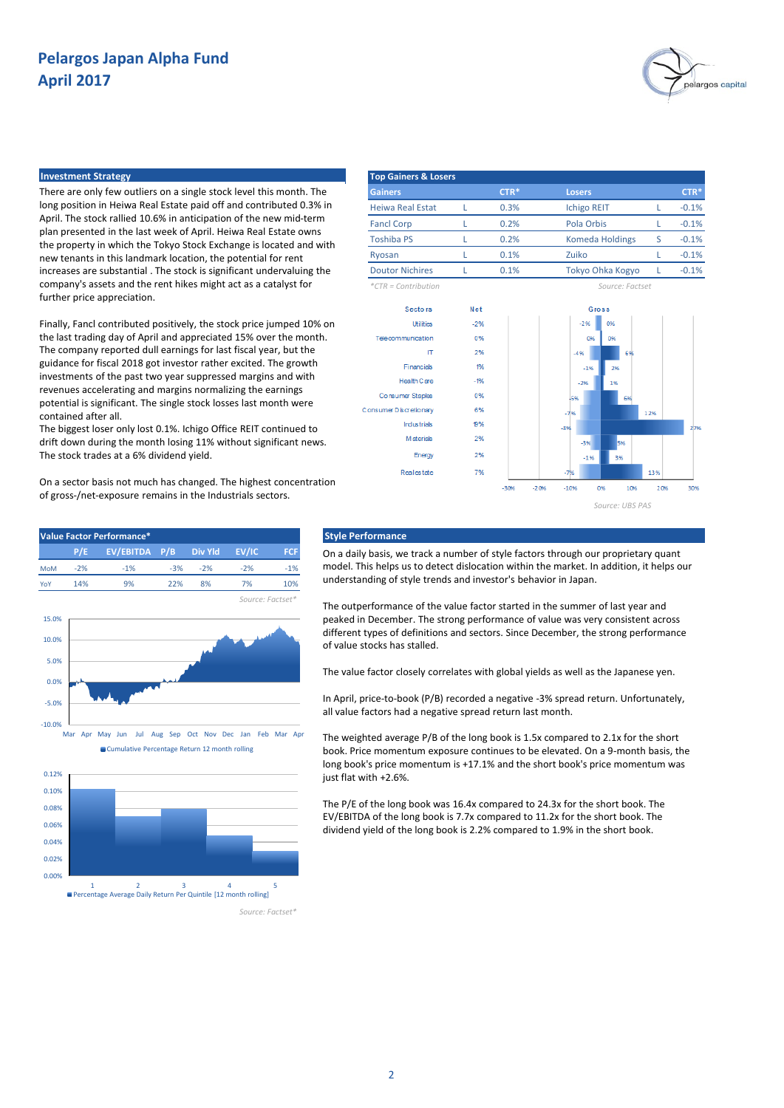

There are only few outliers on a single stock level this month. The long position in Heiwa Real Estate paid off and contributed 0.3% in April. The stock rallied 10.6% in anticipation of the new mid-term plan presented in the last week of April. Heiwa Real Estate owns the property in which the Tokyo Stock Exchange is located and with new tenants in this landmark location, the potential for rent increases are substantial . The stock is significant undervaluing the company's assets and the rent hikes might act as a catalyst for further price appreciation.

Finally, Fancl contributed positively, the stock price jumped 10% on the last trading day of April and appreciated 15% over the month. The company reported dull earnings for last fiscal year, but the guidance for fiscal 2018 got investor rather excited. The growth investments of the past two year suppressed margins and with revenues accelerating and margins normalizing the earnings potential is significant. The single stock losses last month were contained after all.

The biggest loser only lost 0.1%. Ichigo Office REIT continued to drift down during the month losing 11% without significant news. The stock trades at a 6% dividend yield.

On a sector basis not much has changed. The highest concentration of gross-/net-exposure remains in the Industrials sectors.

**P/E P/B FCF EV/EBITDA Div Yld EV/IC** MoM -2% -1% -3% -1% YoY 14% 9% 22% 8% 7% 10%

8%

-2%





#### **Value Factor Performance\* Style Performance**

On a daily basis, we track a number of style factors through our proprietary quant model. This helps us to detect dislocation within the market. In addition, it helps our understanding of style trends and investor's behavior in Japan.

The outperformance of the value factor started in the summer of last year and peaked in December. The strong performance of value was very consistent across different types of definitions and sectors. Since December, the strong performance of value stocks has stalled.

The value factor closely correlates with global yields as well as the Japanese yen.

In April, price-to-book (P/B) recorded a negative -3% spread return. Unfortunately, all value factors had a negative spread return last month.

The weighted average P/B of the long book is 1.5x compared to 2.1x for the short book. Price momentum exposure continues to be elevated. On a 9-month basis, the long book's price momentum is +17.1% and the short book's price momentum was just flat with +2.6%.

The P/E of the long book was 16.4x compared to 24.3x for the short book. The EV/EBITDA of the long book is 7.7x compared to 11.2x for the short book. The dividend yield of the long book is 2.2% compared to 1.9% in the short book.



1 2 3 4 5 Percentage Average Daily Return Per Quintile [12 month rolling]

0.00%

*Source: Factset\**

*Source: Factset\**

-2% 7%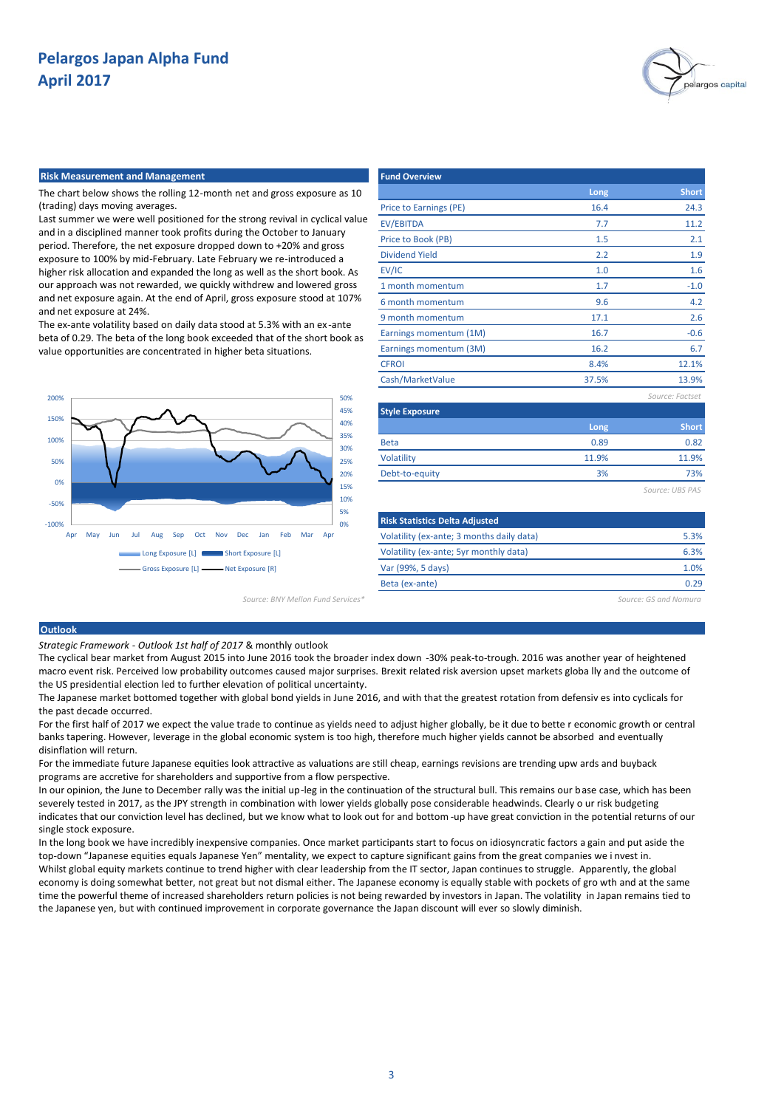

## **Risk Measurement and Management Fund Overview**

The chart below shows the rolling 12-month net and gross exposure as 10 (trading) days moving averages.

Last summer we were well positioned for the strong revival in cyclical value and in a disciplined manner took profits during the October to January period. Therefore, the net exposure dropped down to +20% and gross exposure to 100% by mid-February. Late February we re-introduced a higher risk allocation and expanded the long as well as the short book. As our approach was not rewarded, we quickly withdrew and lowered gross and net exposure again. At the end of April, gross exposure stood at 107% and net exposure at 24%.

The ex-ante volatility based on daily data stood at 5.3% with an ex -ante beta of 0.29. The beta of the long book exceeded that of the short book as value opportunities are concentrated in higher beta situations.



|                        | Long  | <b>Short</b>    |
|------------------------|-------|-----------------|
| Price to Earnings (PE) | 16.4  | 24.3            |
| <b>EV/EBITDA</b>       | 7.7   | 11.2            |
| Price to Book (PB)     | 1.5   | 2.1             |
| <b>Dividend Yield</b>  | 2.2   | 1.9             |
| EV/IC                  | 1.0   | 1.6             |
| 1 month momentum       | 1.7   | $-1.0$          |
| 6 month momentum       | 9.6   | 4.2             |
| 9 month momentum       | 17.1  | 2.6             |
| Earnings momentum (1M) | 16.7  | $-0.6$          |
| Earnings momentum (3M) | 16.2  | 6.7             |
| <b>CFROI</b>           | 8.4%  | 12.1%           |
| Cash/MarketValue       | 37.5% | 13.9%           |
|                        |       | Source: Factset |
| <b>Style Exposure</b>  |       |                 |
|                        | Long  | <b>Short</b>    |
| <b>Beta</b>            | 0.89  | 0.82            |
| Volatility             | 11.9% | 11.9%           |
| Debt-to-equity         | 3%    | 73%             |
|                        |       | Source: UBS PAS |
|                        |       |                 |

| 0%                                | <b>Risk Statistics Delta Adjusted</b>     |                       |
|-----------------------------------|-------------------------------------------|-----------------------|
| ec<br>Mar<br>Feb.<br>Jan<br>Apr   | Volatility (ex-ante; 3 months daily data) | 5.3%                  |
| Exposure [L]                      | Volatility (ex-ante; 5yr monthly data)    | 6.3%                  |
| xposure [R]                       | Var (99%, 5 days)                         | 1.0%                  |
|                                   | Beta (ex-ante)                            | 0.29                  |
| Source: BNY Mellon Fund Services* |                                           | Source: GS and Nomura |

### **Outlook**

*Strategic Framework - Outlook 1st half of 2017* & monthly outlook

The cyclical bear market from August 2015 into June 2016 took the broader index down -30% peak-to-trough. 2016 was another year of heightened macro event risk. Perceived low probability outcomes caused major surprises. Brexit related risk aversion upset markets globa lly and the outcome of the US presidential election led to further elevation of political uncertainty.

The Japanese market bottomed together with global bond yields in June 2016, and with that the greatest rotation from defensiv es into cyclicals for the past decade occurred.

For the first half of 2017 we expect the value trade to continue as yields need to adjust higher globally, be it due to bette r economic growth or central banks tapering. However, leverage in the global economic system is too high, therefore much higher yields cannot be absorbed and eventually disinflation will return.

For the immediate future Japanese equities look attractive as valuations are still cheap, earnings revisions are trending upw ards and buyback programs are accretive for shareholders and supportive from a flow perspective.

In our opinion, the June to December rally was the initial up-leg in the continuation of the structural bull. This remains our base case, which has been severely tested in 2017, as the JPY strength in combination with lower yields globally pose considerable headwinds. Clearly o ur risk budgeting indicates that our conviction level has declined, but we know what to look out for and bottom -up have great conviction in the potential returns of our single stock exposure.

In the long book we have incredibly inexpensive companies. Once market participants start to focus on idiosyncratic factors a gain and put aside the top-down "Japanese equities equals Japanese Yen" mentality, we expect to capture significant gains from the great companies we i nvest in. Whilst global equity markets continue to trend higher with clear leadership from the IT sector, Japan continues to struggle. Apparently, the global economy is doing somewhat better, not great but not dismal either. The Japanese economy is equally stable with pockets of gro wth and at the same time the powerful theme of increased shareholders return policies is not being rewarded by investors in Japan. The volatility in Japan remains tied to the Japanese yen, but with continued improvement in corporate governance the Japan discount will ever so slowly diminish.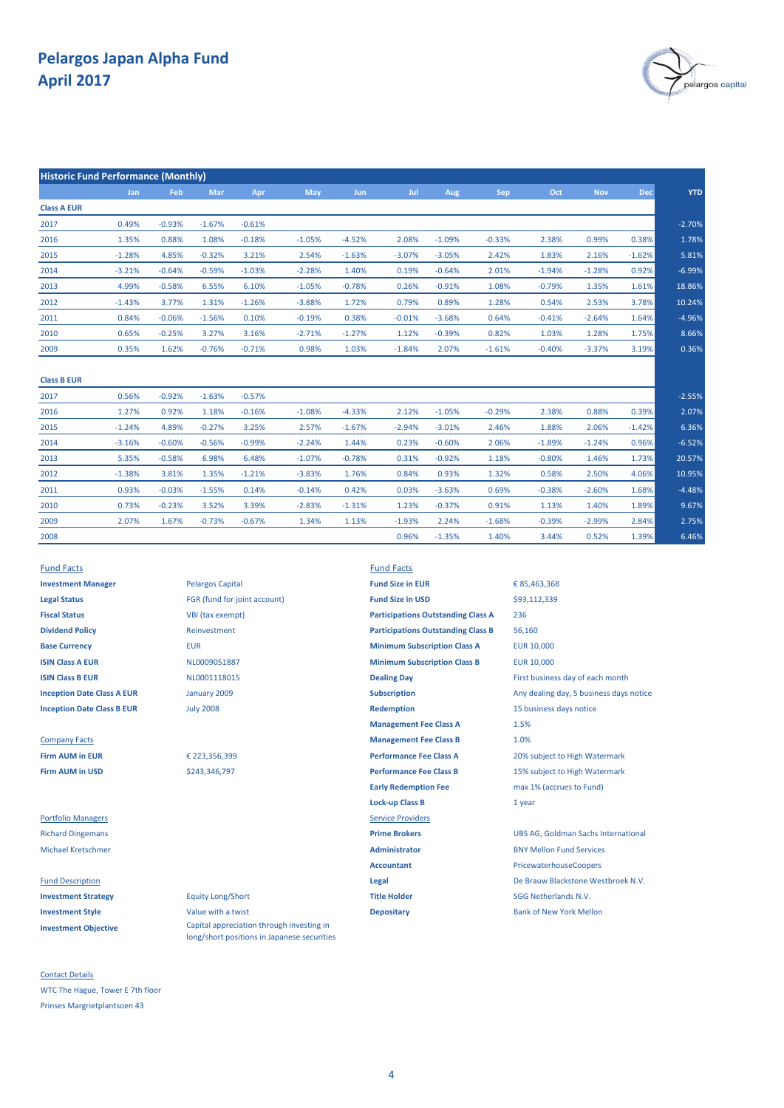

| <b>Historic Fund Performance (Monthly)</b> |          |          |          |          |          |            |          |          |          |          |            |            |            |
|--------------------------------------------|----------|----------|----------|----------|----------|------------|----------|----------|----------|----------|------------|------------|------------|
|                                            | Jan      | Feb      | Mar      | Apr      | May      | <b>Jun</b> | Jul      | Aug      | Sep      | Oct      | <b>Nov</b> | <b>Dec</b> | <b>YTD</b> |
| <b>Class A EUR</b>                         |          |          |          |          |          |            |          |          |          |          |            |            |            |
| 2017                                       | 0.49%    | $-0.93%$ | $-1.67%$ | $-0.61%$ |          |            |          |          |          |          |            |            | $-2.70%$   |
| 2016                                       | 1.35%    | 0.88%    | 1.08%    | $-0.18%$ | $-1.05%$ | $-4.52%$   | 2.08%    | $-1.09%$ | $-0.33%$ | 2.38%    | 0.99%      | 0.38%      | 1.78%      |
| 2015                                       | $-1.28%$ | 4.85%    | $-0.32%$ | 3.21%    | 2.54%    | $-1.63%$   | $-3.07%$ | $-3.05%$ | 2.42%    | 1.83%    | 2.16%      | $-1.62%$   | 5.81%      |
| 2014                                       | $-3.21%$ | $-0.64%$ | $-0.59%$ | $-1.03%$ | $-2.28%$ | 1.40%      | 0.19%    | $-0.64%$ | 2.01%    | $-1.94%$ | $-1.28%$   | 0.92%      | $-6.99%$   |
| 2013                                       | 4.99%    | $-0.58%$ | 6.55%    | 6.10%    | $-1.05%$ | $-0.78%$   | 0.26%    | $-0.91%$ | 1.08%    | $-0.79%$ | 1.35%      | 1.61%      | 18.86%     |
| 2012                                       | $-1.43%$ | 3.77%    | 1.31%    | $-1.26%$ | $-3.88%$ | 1.72%      | 0.79%    | 0.89%    | 1.28%    | 0.54%    | 2.53%      | 3.78%      | 10.24%     |
| 2011                                       | 0.84%    | $-0.06%$ | $-1.56%$ | 0.10%    | $-0.19%$ | 0.38%      | $-0.01%$ | $-3.68%$ | 0.64%    | $-0.41%$ | $-2.64%$   | 1.64%      | $-4.96%$   |
| 2010                                       | 0.65%    | $-0.25%$ | 3.27%    | 3.16%    | $-2.71%$ | $-1.27%$   | 1.12%    | $-0.39%$ | 0.82%    | 1.03%    | 1.28%      | 1.75%      | 8.66%      |
| 2009                                       | 0.35%    | 1.62%    | $-0.76%$ | $-0.71%$ | 0.98%    | 1.03%      | $-1.84%$ | 2.07%    | $-1.61%$ | $-0.40%$ | $-3.37%$   | 3.19%      | 0.36%      |
| <b>Class B EUR</b>                         |          |          |          |          |          |            |          |          |          |          |            |            |            |
| 2017                                       | 0.56%    | $-0.92%$ | $-1.63%$ | $-0.57%$ |          |            |          |          |          |          |            |            | $-2.55%$   |
| 2016                                       | 1.27%    | 0.92%    | 1.18%    | $-0.16%$ | $-1.08%$ | $-4.33%$   | 2.12%    | $-1.05%$ | $-0.29%$ | 2.38%    | 0.88%      | 0.39%      | 2.07%      |
|                                            |          |          |          |          |          |            |          |          |          |          |            |            |            |

| 2015 | $-1.24%$ | 4.89%    | $-0.27%$ | 3.25%    | 2.57%    | $-1.67%$ | $-2.94%$ | $-3.01%$ | 2.46%    | 1.88%    | 2.06%    | $-1.42%$ | 6.36%    |
|------|----------|----------|----------|----------|----------|----------|----------|----------|----------|----------|----------|----------|----------|
| 2014 | $-3.16%$ | $-0.60%$ | $-0.56%$ | $-0.99%$ | $-2.24%$ | 1.44%    | 0.23%    | $-0.60%$ | 2.06%    | $-1.89%$ | $-1.24%$ | 0.96%    | $-6.52%$ |
| 2013 | 5.35%    | $-0.58%$ | 6.98%    | 6.48%    | $-1.07%$ | $-0.78%$ | 0.31%    | $-0.92%$ | 1.18%    | $-0.80%$ | 1.46%    | 1.73%    | 20.57%   |
| 2012 | $-1.38%$ | 3.81%    | 1.35%    | $-1.21%$ | $-3.83%$ | 1.76%    | 0.84%    | 0.93%    | 1.32%    | 0.58%    | 2.50%    | 4.06%    | 10.95%   |
| 2011 | 0.93%    | $-0.03%$ | $-1.55%$ | 0.14%    | $-0.14%$ | 0.42%    | 0.03%    | $-3.63%$ | 0.69%    | $-0.38%$ | $-2.60%$ | 1.68%    | $-4.48%$ |
| 2010 | 0.73%    | $-0.23%$ | 3.52%    | 3.39%    | $-2.83%$ | $-1.31%$ | 1.23%    | $-0.37%$ | 0.91%    | 1.13%    | 1.40%    | 1.89%    | 9.67%    |
| 2009 | 2.07%    | 1.67%    | $-0.73%$ | $-0.67%$ | 1.34%    | 1.13%    | $-1.93%$ | 2.24%    | $-1.68%$ | $-0.39%$ | $-2.99%$ | 2.84%    | 2.75%    |
| 2008 |          |          |          |          |          |          | 0.96%    | $-1.35%$ | 1.40%    | 3.44%    | 0.52%    | 1.39%    | 6.46%    |

| <b>Fund Facts</b>                 |                              | <b>Fund Facts</b>    |
|-----------------------------------|------------------------------|----------------------|
| <b>Investment Manager</b>         | <b>Pelargos Capital</b>      | <b>Fund Size in</b>  |
| <b>Legal Status</b>               | FGR (fund for joint account) | <b>Fund Size in</b>  |
| <b>Fiscal Status</b>              | VBI (tax exempt)             | Participation        |
| <b>Dividend Policy</b>            | Reinvestment                 | <b>Participation</b> |
| <b>Base Currency</b>              | <b>EUR</b>                   | <b>Minimum Su</b>    |
| <b>ISIN Class A EUR</b>           | NL0009051887                 | <b>Minimum Su</b>    |
| <b>ISIN Class B EUR</b>           | NL0001118015                 | <b>Dealing Day</b>   |
| <b>Inception Date Class A EUR</b> | January 2009                 | Subscription         |
| <b>Inception Date Class B EUR</b> | <b>July 2008</b>             | <b>Redemption</b>    |

**Investment Objective**

Contact Details WTC The Hague, Tower E 7th floor Prinses Margrietplantsoen 43

**Investment Manager Manager Manager Pelargos Capital <b>Fund Size in EUR Legal Status** FGR (fund for joint account) **Fund Size in USD VBI (tax exempt) Dividend Policy** Reinvestment January 2009 July 2008

€ 223,356,399 \$243,346,797

Capital appreciation through investing in long/short positions in Japanese securities

**Base Currency <b>EUR** EUR **EUR EUR EUR EUR Minimum Subscription Class A** EUR 10,000 **ISIN Class A EUR EUR ISIN CLASS A EUR** 10,000 **MINIMUM Subscription Class B EUR** 10,000 **ISIN COLLECTER B ENCOO1118015 Dealing Day Dealing Day** First business day of each month **Inception Date Class B EUR Inc. Accord 1999 Manufature 2008 Redemption** 15 business days notice **Management Fee Class A Company Facts Company Facts Management Fee Class B Firm AUM in EUR EXECUTE:** € 223,356,399 **Performance Fee Class A** 20% subject to High Watermark **Firm AUM in USD Saulding Search 2003,346,797 Performance Fee Class B** 15% subject to High Watermark **Early Redemption Fee** max 1% (accrues to Fund) **Lock-up Class B** 1 year **Portfolio Managers Service Providers** Michael Kretschmer **Administrator** BNY Mellon Fund Services **Accountant** PricewaterhouseCoopers **Investment Strategy Equity Long/Short <b>Title Holder Title Holder** SGG Netherlands N.V. **Investment Style Investment Style Value with a twist <b>Depositary Depositary Bank of New York Mellon Participations Outstanding Class B Participations Outstanding Class A**

**Subscription Case A EUR A EUR A EUR A EUR A EUR A EUR A EUR A EUR A EUR A EUR A EUR A EUR A EUR A EUR A EUR A EUR A EUR A EUR A EUR A EUR A EUR A EUR A EUR A EUR A EUR A EUR A EUR A EUR A EUR A EUR A EUR A EUR A EUR A E** Richard Dingemans **Prime Brokers** UBS AG, Goldman Sachs International Fund Description **Legal** De Brauw Blackstone Westbroek N.V. 1.5% 1.0% € 85,463,368 236 56,160 \$93,112,339